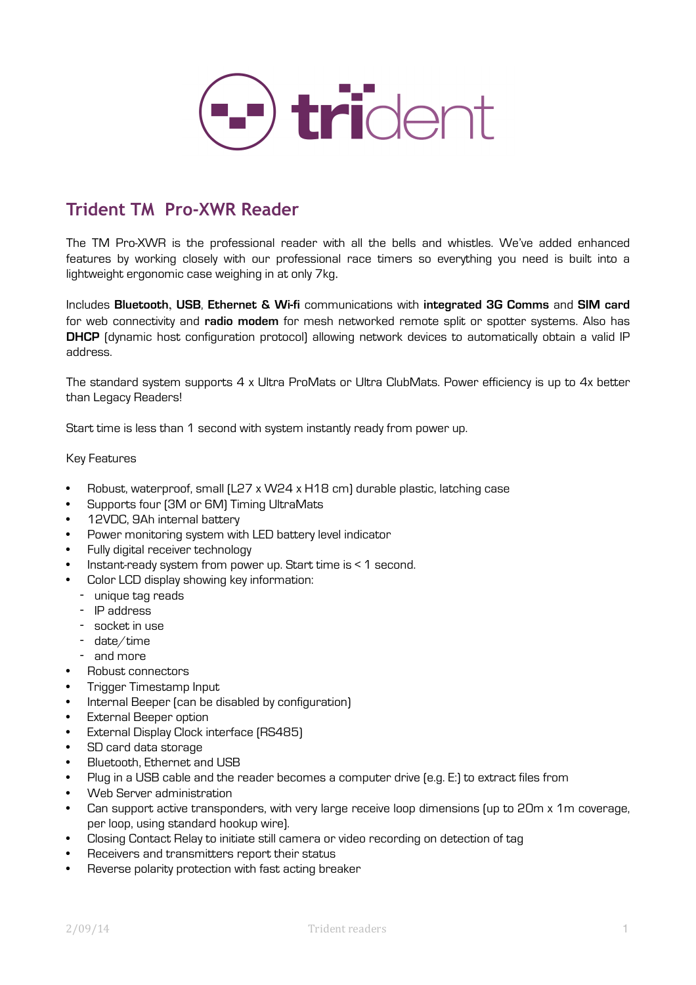

## **Trident TM Pro-XWR Reader**

The TM Pro-XWR is the professional reader with all the bells and whistles. We've added enhanced features by working closely with our professional race timers so everything you need is built into a lightweight ergonomic case weighing in at only 7kg.

Includes **Bluetooth**, **USB**, **Ethernet & Wi-fi** communications with **integrated 3G Comms** and **SIM card** for web connectivity and **radio modem** for mesh networked remote split or spotter systems. Also has **DHCP** (dynamic host configuration protocol) allowing network devices to automatically obtain a valid IP address.

The standard system supports 4 x Ultra ProMats or Ultra ClubMats. Power efficiency is up to 4x better than Legacy Readers!

Start time is less than 1 second with system instantly ready from power up.

### Key Features

- Robust, waterproof, small (L27 x W24 x H18 cm) durable plastic, latching case
- Supports four (3M or 6M) Timing UltraMats
- 12VDC, 9Ah internal battery
- Power monitoring system with LED battery level indicator
- Fully digital receiver technology
- Instant-ready system from power up. Start time is < 1 second.
- Color LCD display showing key information:
	- unique tag reads
	- IP address
	- socket in use
	- date/time
	- and more
- Robust connectors
- Trigger Timestamp Input
- Internal Beeper (can be disabled by configuration)
- External Beeper option
- External Display Clock interface (RS485)
- SD card data storage
- Bluetooth, Ethernet and USB
- Plug in a USB cable and the reader becomes a computer drive (e.g. E:) to extract files from
- Web Server administration
- Can support active transponders, with very large receive loop dimensions (up to 20m x 1m coverage, per loop, using standard hookup wire).
- Closing Contact Relay to initiate still camera or video recording on detection of tag
- Receivers and transmitters report their status
- Reverse polarity protection with fast acting breaker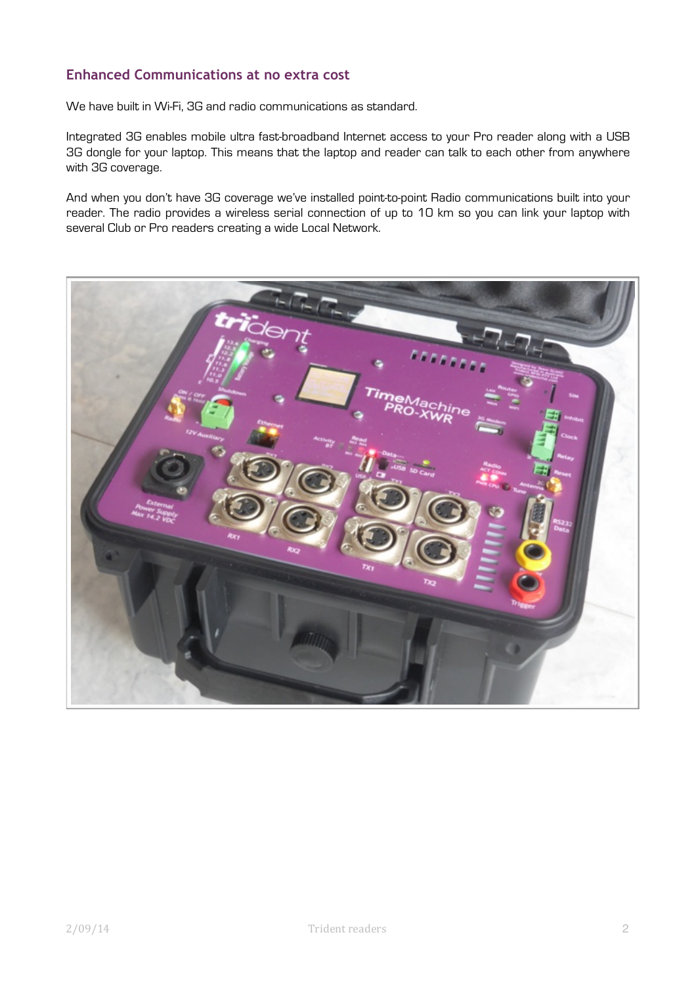## **Enhanced Communications at no extra cost**

We have built in Wi-Fi, 3G and radio communications as standard.

Integrated 3G enables [mobile ultra fast-broadband](http://en.wikipedia.org/wiki/Mobile_broadband) Internet access to your Pro reader along with a [USB](http://en.wikipedia.org/wiki/USB)  3G dongle for your laptop. This means that the laptop and reader can talk to each other from anywhere with 3G coverage.

And when you don't have 3G coverage we've installed point-to-point Radio communications built into your reader. The radio provides a wireless serial connection of up to 10 km so you can link your laptop with several Club or Pro readers creating a wide Local Network.